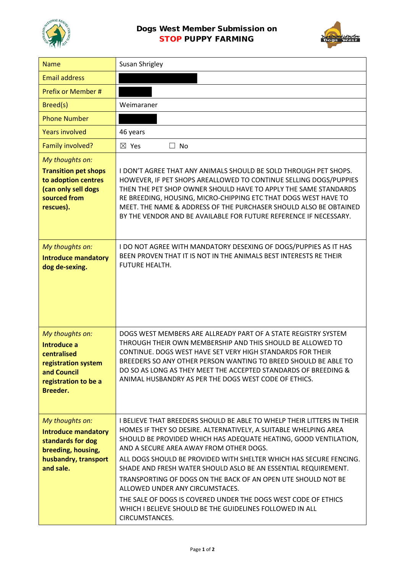

## Dogs West Member Submission on STOP PUPPY FARMING



| <b>Name</b>                                                                                                                   | <b>Susan Shrigley</b>                                                                                                                                                                                                                                                                                                                                                                                                                                                                                                                                                                                                                                 |
|-------------------------------------------------------------------------------------------------------------------------------|-------------------------------------------------------------------------------------------------------------------------------------------------------------------------------------------------------------------------------------------------------------------------------------------------------------------------------------------------------------------------------------------------------------------------------------------------------------------------------------------------------------------------------------------------------------------------------------------------------------------------------------------------------|
| <b>Email address</b>                                                                                                          |                                                                                                                                                                                                                                                                                                                                                                                                                                                                                                                                                                                                                                                       |
| Prefix or Member #                                                                                                            |                                                                                                                                                                                                                                                                                                                                                                                                                                                                                                                                                                                                                                                       |
| Breed(s)                                                                                                                      | Weimaraner                                                                                                                                                                                                                                                                                                                                                                                                                                                                                                                                                                                                                                            |
| <b>Phone Number</b>                                                                                                           |                                                                                                                                                                                                                                                                                                                                                                                                                                                                                                                                                                                                                                                       |
| <b>Years involved</b>                                                                                                         | 46 years                                                                                                                                                                                                                                                                                                                                                                                                                                                                                                                                                                                                                                              |
| Family involved?                                                                                                              | $\boxtimes$ Yes<br>$\Box$ No                                                                                                                                                                                                                                                                                                                                                                                                                                                                                                                                                                                                                          |
| My thoughts on:<br><b>Transition pet shops</b><br>to adoption centres<br>(can only sell dogs<br>sourced from<br>rescues).     | I DON'T AGREE THAT ANY ANIMALS SHOULD BE SOLD THROUGH PET SHOPS.<br>HOWEVER, IF PET SHOPS AREALLOWED TO CONTINUE SELLING DOGS/PUPPIES<br>THEN THE PET SHOP OWNER SHOULD HAVE TO APPLY THE SAME STANDARDS<br>RE BREEDING, HOUSING, MICRO-CHIPPING ETC THAT DOGS WEST HAVE TO<br>MEET. THE NAME & ADDRESS OF THE PURCHASER SHOULD ALSO BE OBTAINED<br>BY THE VENDOR AND BE AVAILABLE FOR FUTURE REFERENCE IF NECESSARY.                                                                                                                                                                                                                                 |
| My thoughts on:<br><b>Introduce mandatory</b><br>dog de-sexing.                                                               | I DO NOT AGREE WITH MANDATORY DESEXING OF DOGS/PUPPIES AS IT HAS<br>BEEN PROVEN THAT IT IS NOT IN THE ANIMALS BEST INTERESTS RE THEIR<br>FUTURE HEALTH.                                                                                                                                                                                                                                                                                                                                                                                                                                                                                               |
| My thoughts on:<br>Introduce a<br>centralised<br>registration system<br>and Council<br>registration to be a<br>Breeder.       | DOGS WEST MEMBERS ARE ALLREADY PART OF A STATE REGISTRY SYSTEM<br>THROUGH THEIR OWN MEMBERSHIP AND THIS SHOULD BE ALLOWED TO<br>CONTINUE. DOGS WEST HAVE SET VERY HIGH STANDARDS FOR THEIR<br>BREEDERS SO ANY OTHER PERSON WANTING TO BREED SHOULD BE ABLE TO<br>DO SO AS LONG AS THEY MEET THE ACCEPTED STANDARDS OF BREEDING &<br>ANIMAL HUSBANDRY AS PER THE DOGS WEST CODE OF ETHICS.                                                                                                                                                                                                                                                             |
| My thoughts on:<br><b>Introduce mandatory</b><br>standards for dog<br>breeding, housing,<br>husbandry, transport<br>and sale. | I BELIEVE THAT BREEDERS SHOULD BE ABLE TO WHELP THEIR LITTERS IN THEIR<br>HOMES IF THEY SO DESIRE. ALTERNATIVELY, A SUITABLE WHELPING AREA<br>SHOULD BE PROVIDED WHICH HAS ADEQUATE HEATING, GOOD VENTILATION,<br>AND A SECURE AREA AWAY FROM OTHER DOGS.<br>ALL DOGS SHOULD BE PROVIDED WITH SHELTER WHICH HAS SECURE FENCING.<br>SHADE AND FRESH WATER SHOULD ASLO BE AN ESSENTIAL REQUIREMENT.<br>TRANSPORTING OF DOGS ON THE BACK OF AN OPEN UTE SHOULD NOT BE<br>ALLOWED UNDER ANY CIRCUMSTACES.<br>THE SALE OF DOGS IS COVERED UNDER THE DOGS WEST CODE OF ETHICS<br>WHICH I BELIEVE SHOULD BE THE GUIDELINES FOLLOWED IN ALL<br>CIRCUMSTANCES. |